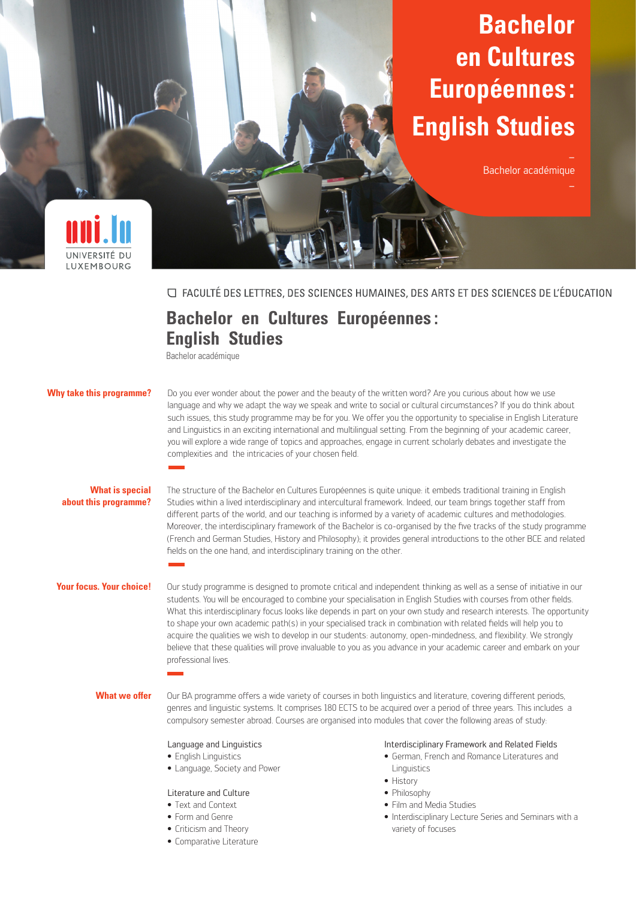# **Bachelor en Cultures Européennes : English Studies**

Bachelor académique



□ FACULTÉ DES LETTRES, DES SCIENCES HUMAINES, DES ARTS ET DES SCIENCES DE L'ÉDUCATION

# **Bachelor en Cultures Européennes : English Studies**

Bachelor académique

# **Why take this programme?**

Do you ever wonder about the power and the beauty of the written word? Are you curious about how we use language and why we adapt the way we speak and write to social or cultural circumstances? If you do think about such issues, this study programme may be for you. We offer you the opportunity to specialise in English Literature and Linguistics in an exciting international and multilingual setting. From the beginning of your academic career, you will explore a wide range of topics and approaches, engage in current scholarly debates and investigate the complexities and the intricacies of your chosen field.

## **What is special about this programme?**

The structure of the Bachelor en Cultures Européennes is quite unique: it embeds traditional training in English Studies within a lived interdisciplinary and intercultural framework. Indeed, our team brings together staff from different parts of the world, and our teaching is informed by a variety of academic cultures and methodologies. Moreover, the interdisciplinary framework of the Bachelor is co-organised by the five tracks of the study programme (French and German Studies, History and Philosophy); it provides general introductions to the other BCE and related fields on the one hand, and interdisciplinary training on the other.

#### **Your focus. Your choice!**

Our study programme is designed to promote critical and independent thinking as well as a sense of initiative in our students. You will be encouraged to combine your specialisation in English Studies with courses from other fields. What this interdisciplinary focus looks like depends in part on your own study and research interests. The opportunity to shape your own academic path(s) in your specialised track in combination with related fields will help you to acquire the qualities we wish to develop in our students: autonomy, open-mindedness, and flexibility. We strongly believe that these qualities will prove invaluable to you as you advance in your academic career and embark on your professional lives.

#### **What we offer**

Our BA programme offers a wide variety of courses in both linguistics and literature, covering different periods, genres and linguistic systems. It comprises 180 ECTS to be acquired over a period of three years. This includes a compulsory semester abroad. Courses are organised into modules that cover the following areas of study:

#### Language and Linguistics

- **•** English Linguistics
- **•** Language, Society and Power

# Literature and Culture

- **•** Text and Context
- **•** Form and Genre
- **•** Criticism and Theory
- **•** Comparative Literature

### Interdisciplinary Framework and Related Fields

- **•** German, French and Romance Literatures and Linguistics
- **•** History
- **•** Philosophy
- **•** Film and Media Studies
- **•** Interdisciplinary Lecture Series and Seminars with a variety of focuses